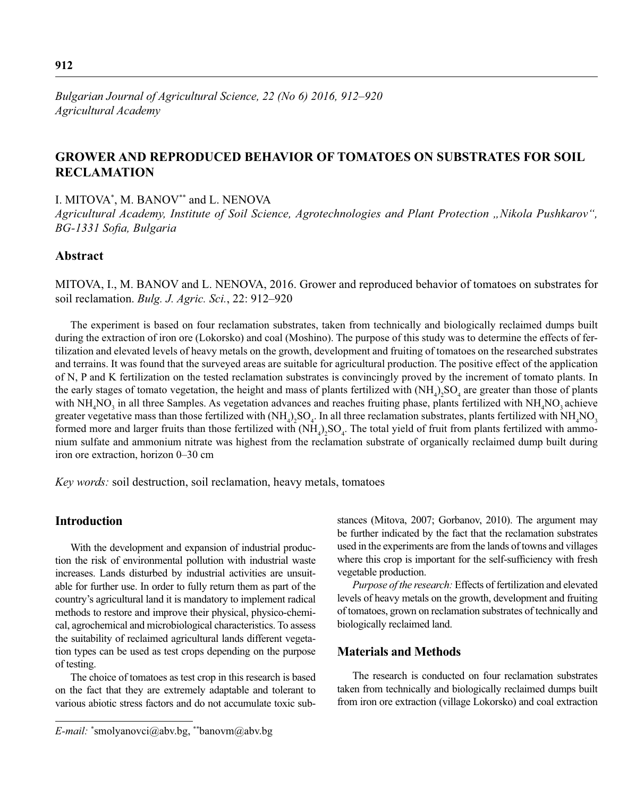# **GROWER AND REPRODUCED BEHAVIOR OF TOMATOES ON SUBSTRATES FOR SOIL RECLAMATION**

I. MITOVA\* , M. BANOV\*\* and L. NENOVA

*Agricultural Academy, Institute of Soil Science, Agrotechnologies and Plant Protection "Nikola Pushkarov", BG-1331 Sofia, Bulgaria* 

## **Abstract**

MITOVA, I., M. BANOV and L. NENOVA, 2016. Grower and reproduced behavior of tomatoes on substrates for soil reclamation. *Bulg. J. Agric. Sci.*, 22: 912–920

The experiment is based on four reclamation substrates, taken from technically and biologically reclaimed dumps built during the extraction of iron ore (Lokorsko) and coal (Moshino). The purpose of this study was to determine the effects of fertilization and elevated levels of heavy metals on the growth, development and fruiting of tomatoes on the researched substrates and terrains. It was found that the surveyed areas are suitable for agricultural production. The positive effect of the application of N, P and K fertilization on the tested reclamation substrates is convincingly proved by the increment of tomato plants. In the early stages of tomato vegetation, the height and mass of plants fertilized with  $(NH_4)_2SO_4$  are greater than those of plants with  $NH_4NO_3$  in all three Samples. As vegetation advances and reaches fruiting phase, plants fertilized with  $NH_4NO_3$  achieve greater vegetative mass than those fertilized with  $(NH_4)_2SO_4$ . In all three reclamation substrates, plants fertilized with  $NH_4NO_3$ formed more and larger fruits than those fertilized with  $(NH_4)_2SO_4$ . The total yield of fruit from plants fertilized with ammonium sulfate and ammonium nitrate was highest from the reclamation substrate of organically reclaimed dump built during iron ore extraction, horizon 0–30 cm

*Key words:* soil destruction, soil reclamation, heavy metals, tomatoes

### **Introduction**

With the development and expansion of industrial production the risk of environmental pollution with industrial waste increases. Lands disturbed by industrial activities are unsuitable for further use. In order to fully return them as part of the country's agricultural land it is mandatory to implement radical methods to restore and improve their physical, physico-chemical, agrochemical and microbiological characteristics. To assess the suitability of reclaimed agricultural lands different vegetation types can be used as test crops depending on the purpose of testing.

The choice of tomatoes as test crop in this research is based on the fact that they are extremely adaptable and tolerant to various abiotic stress factors and do not accumulate toxic substances (Mitova, 2007; Gorbanov, 2010). The argument may be further indicated by the fact that the reclamation substrates used in the experiments are from the lands of towns and villages where this crop is important for the self-sufficiency with fresh vegetable production.

*Purpose of the research:* Effects of fertilization and elevated levels of heavy metals on the growth, development and fruiting of tomatoes, grown on reclamation substrates of technically and biologically reclaimed land.

### **Materials and Methods**

The research is conducted on four reclamation substrates taken from technically and biologically reclaimed dumps built from iron ore extraction (village Lokorsko) and coal extraction

*E-mail:* \* smolyanovci@abv.bg, \*\*banovm@abv.bg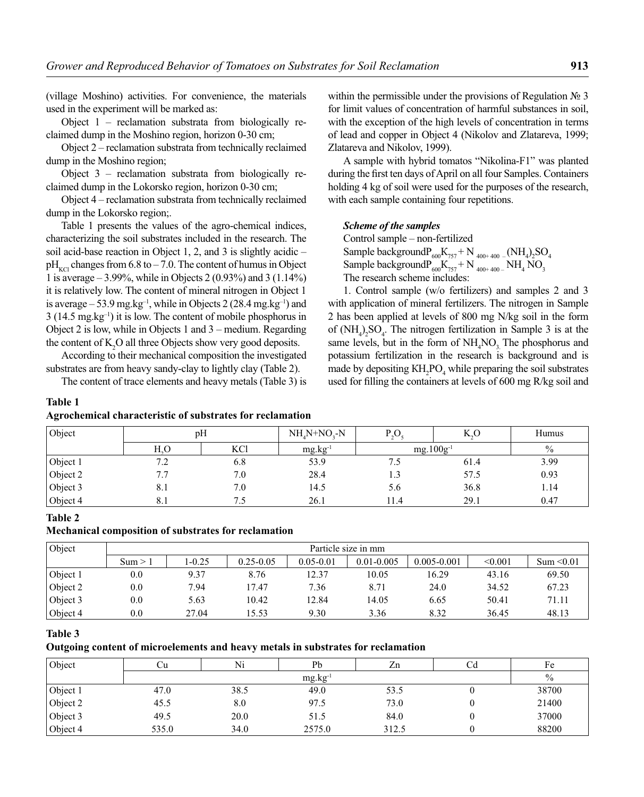(village Moshino) activities. For convenience, the materials used in the experiment will be marked as:

Object 1 – reclamation substrata from biologically reclaimed dump in the Moshino region, horizon 0-30 cm;

Object 2 – reclamation substrata from technically reclaimed dump in the Moshino region;

Object 3 – reclamation substrata from biologically reclaimed dump in the Lokorsko region, horizon 0-30 cm;

Object 4 – reclamation substrata from technically reclaimed dump in the Lokorsko region;.

Table 1 presents the values of the agro-chemical indices, characterizing the soil substrates included in the research. The soil acid-base reaction in Object 1, 2, and 3 is slightly acidic –  $pH_{\text{KCl}}$  changes from 6.8 to – 7.0. The content of humus in Object 1 is average – 3.99%, while in Objects 2 (0.93%) and 3 (1.14%) it is relatively low. The content of mineral nitrogen in Object 1 is average – 53.9 mg.kg<sup>-1</sup>, while in Objects 2 (28.4 mg.kg<sup>-1</sup>) and 3 (14.5 mg.kg–1) it is low. The content of mobile phosphorus in Object 2 is low, while in Objects 1 and 3 – medium. Regarding the content of  $K_2O$  all three Objects show very good deposits.

According to their mechanical composition the investigated substrates are from heavy sandy-clay to lightly clay (Table 2).

The content of trace elements and heavy metals (Table 3) is

#### **Table 1**

### **Agrochemical characteristic of substrates for reclamation**

within the permissible under the provisions of Regulation № 3 for limit values of concentration of harmful substances in soil, with the exception of the high levels of concentration in terms of lead and copper in Object 4 (Nikolov and Zlatareva, 1999; Zlatareva and Nikolov, 1999).

A sample with hybrid tomatos "Nikolina-F1" was planted during the first ten days of April on all four Samples. Containers holding 4 kg of soil were used for the purposes of the research, with each sample containing four repetitions.

#### *Scheme of the samples*

Control sample – non-fertilized Sample background $P_{600}K_{757} + N_{400+400}$  (NH<sub>4</sub>)<sub>2</sub>SO<sub>4</sub> Sample background $P_{600}K_{757}$  + N  $_{400+400}$  – NH<sub>4</sub> NO<sub>3</sub> The research scheme includes:

1. Control sample (w/o fertilizers) and samples 2 and 3 with application of mineral fertilizers. The nitrogen in Sample 2 has been applied at levels of 800 mg N/kg soil in the form of  $(NH_4)_2SO_4$ . The nitrogen fertilization in Sample 3 is at the same levels, but in the form of  $NH<sub>4</sub>NO<sub>3</sub>$ . The phosphorus and potassium fertilization in the research is background and is made by depositing  $KH_2PO_4$  while preparing the soil substrates used for filling the containers at levels of 600 mg  $R/kg$  soil and

| Object     | pH               |     | $NH_{4}N+NO_{2}-N$ | P <sub>3</sub> O | K.O  | Humus         |
|------------|------------------|-----|--------------------|------------------|------|---------------|
|            | H <sub>2</sub> O | KCl | $mg.kg^{-1}$       | $mg.100g^{-1}$   |      | $\frac{0}{0}$ |
| Object 1   | 7.2              | 6.8 | 53.9               | 7.5              | 61.4 | 3.99          |
| Object 2   | 7.7              | 7.0 | 28.4               | 1.3              | 57.5 | 0.93          |
| Object $3$ | 8.1              | 7.0 | 14.5               | 5.6              | 36.8 | 1.14          |
| Object 4   | 8.1              |     | 26.1               | 11.4             | 29.1 | 0.47          |

#### **Table 2**

#### **Mechanical composition of substrates for reclamation**

| Object   | Particle size in mm |            |               |               |                |                 |         |            |
|----------|---------------------|------------|---------------|---------------|----------------|-----------------|---------|------------|
|          | Sum > 1             | $1 - 0.25$ | $0.25 - 0.05$ | $0.05 - 0.01$ | $0.01 - 0.005$ | $0.005 - 0.001$ | < 0.001 | Sum < 0.01 |
| Object 1 | 0.0                 | 9.37       | 8.76          | 12.37         | 10.05          | 16.29           | 43.16   | 69.50      |
| Object 2 | 0.0                 | 7.94       | 17.47         | 7.36          | 8.71           | 24.0            | 34.52   | 67.23      |
| Object 3 | 0.0                 | 5.63       | 10.42         | 12.84         | 14.05          | 6.65            | 50.41   | 71.11      |
| Object 4 | 0.0                 | 27.04      | 15.53         | 9.30          | 3.36           | 8.32            | 36.45   | 48.13      |

#### **Table 3**

**Outgoing content of microelements and heavy metals in substrates for reclamation**

| Object   | υu    | Ni   | Pb                  | Zn    | Fe    |
|----------|-------|------|---------------------|-------|-------|
|          |       |      | mg.kg <sup>-1</sup> |       | $\%$  |
| Object 1 | 47.0  | 38.5 | 49.0                | 53.5  | 38700 |
| Object 2 | 45.5  | 8.0  | 97.5                | 73.0  | 21400 |
| Object 3 | 49.5  | 20.0 | 51.5                | 84.0  | 37000 |
| Object 4 | 535.0 | 34.0 | 2575.0              | 312.5 | 88200 |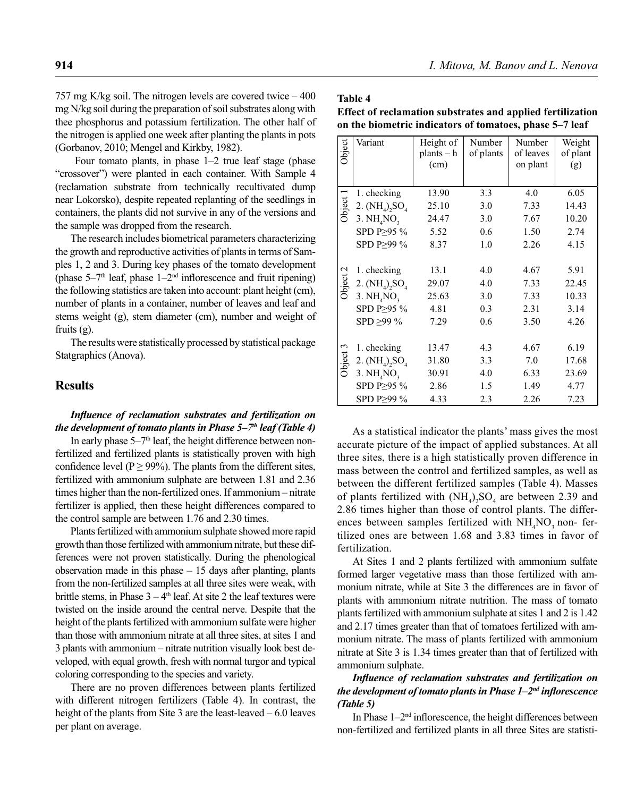757 mg K/kg soil. The nitrogen levels are covered twice – 400 mg N/kg soil during the preparation of soil substrates along with thee phosphorus and potassium fertilization. The other half of the nitrogen is applied one week after planting the plants in pots (Gorbanov, 2010; Mengel and Kirkby, 1982).

 Four tomato plants, in phase 1–2 true leaf stage (phase "crossover") were planted in each container. With Sample 4 (reclamation substrate from technically recultivated dump near Lokorsko), despite repeated replanting of the seedlings in containers, the plants did not survive in any of the versions and the sample was dropped from the research.

The research includes biometrical parameters characterizing the growth and reproductive activities of plants in terms of Samples 1, 2 and 3. During key phases of the tomato development (phase  $5-7<sup>th</sup>$  leaf, phase  $1-2<sup>nd</sup>$  inflorescence and fruit ripening) the following statistics are taken into account: plant height (cm), number of plants in a container, number of leaves and leaf and stems weight (g), stem diameter (cm), number and weight of fruits (g).

The results were statistically processed by statistical package Statgraphics (Anova).

## **Results**

### Influence of reclamation substrates and fertilization on *the development of tomato plants in Phase 5–7<sup>th</sup> leaf (Table 4)*

In early phase  $5-7<sup>th</sup>$  leaf, the height difference between nonfertilized and fertilized plants is statistically proven with high confidence level (P  $\geq$  99%). The plants from the different sites, fertilized with ammonium sulphate are between 1.81 and 2.36 times higher than the non-fertilized ones. If ammonium – nitrate fertilizer is applied, then these height differences compared to the control sample are between 1.76 and 2.30 times.

Plants fertilized with ammonium sulphate showed more rapid growth than those fertilized with ammonium nitrate, but these differences were not proven statistically. During the phenological observation made in this phase – 15 days after planting, plants from the non-fertilized samples at all three sites were weak, with brittle stems, in Phase  $3 - 4<sup>th</sup>$  leaf. At site 2 the leaf textures were twisted on the inside around the central nerve. Despite that the height of the plants fertilized with ammonium sulfate were higher than those with ammonium nitrate at all three sites, at sites 1 and 3 plants with ammonium – nitrate nutrition visually look best developed, with equal growth, fresh with normal turgor and typical coloring corresponding to the species and variety.

There are no proven differences between plants fertilized with different nitrogen fertilizers (Table 4). In contrast, the height of the plants from Site 3 are the least-leaved – 6.0 leaves per plant on average.

**Table 4**

**Effect of reclamation substrates and applied fertilization on the biometric indicators of tomatoes, phase 5–7 leaf**

| Object   | Variant                                                                              | Height of<br>$plants - h$<br>(cm)       | Number<br>of plants             | Number<br>of leaves<br>on plant      | Weight<br>of plant<br>(g)              |
|----------|--------------------------------------------------------------------------------------|-----------------------------------------|---------------------------------|--------------------------------------|----------------------------------------|
|          | 1. checking                                                                          | 13.90                                   | 3.3                             | 4.0                                  | 6.05                                   |
| Object 1 | 2. $(NH_4)$ , $SO_4$                                                                 | 25.10                                   | 3.0                             | 7.33                                 | 14.43                                  |
|          | 3. NH <sub>a</sub> NO <sub>3</sub>                                                   | 24.47                                   | 3.0                             | 7.67                                 | 10.20                                  |
|          | SPD P≥95 %                                                                           | 5.52                                    | 0.6                             | 1.50                                 | 2.74                                   |
|          | SPD P>99 %                                                                           | 8.37                                    | 1.0                             | 2.26                                 | 4.15                                   |
| Object 2 | 1. checking<br>2. $(NH_4)$ , $SO_4$<br>3. $NHaNO3$<br>SPD P>95 %<br>$SPD \geq 99 \%$ | 13.1<br>29.07<br>25.63<br>4.81<br>7.29  | 4.0<br>4.0<br>3.0<br>0.3<br>0.6 | 4.67<br>7.33<br>7.33<br>2.31<br>3.50 | 5.91<br>22.45<br>10.33<br>3.14<br>4.26 |
| Object 3 | 1. checking<br>2. $(NH_4)$ , $SO_4$<br>3. $NHaNO3$<br>SPD P≥95 %<br>SPD P>99 %       | 13.47<br>31.80<br>30.91<br>2.86<br>4.33 | 4.3<br>3.3<br>4.0<br>1.5<br>2.3 | 4.67<br>7.0<br>6.33<br>1.49<br>2.26  | 6.19<br>17.68<br>23.69<br>4.77<br>7.23 |

As a statistical indicator the plants' mass gives the most accurate picture of the impact of applied substances. At all three sites, there is a high statistically proven difference in mass between the control and fertilized samples, as well as between the different fertilized samples (Table 4). Masses of plants fertilized with  $(NH_4)_2SO_4$  are between 2.39 and 2.86 times higher than those of control plants. The differences between samples fertilized with  $NH<sub>4</sub>NO<sub>3</sub>$  non-fertilized ones are between 1.68 and 3.83 times in favor of fertilization.

At Sites 1 and 2 plants fertilized with ammonium sulfate formed larger vegetative mass than those fertilized with ammonium nitrate, while at Site 3 the differences are in favor of plants with ammonium nitrate nutrition. The mass of tomato plants fertilized with ammonium sulphate at sites 1 and 2 is 1.42 and 2.17 times greater than that of tomatoes fertilized with ammonium nitrate. The mass of plants fertilized with ammonium nitrate at Site 3 is 1.34 times greater than that of fertilized with ammonium sulphate.

## *Infl uence of reclamation substrates and fertilization on the development of tomato plants in Phase 1–2<sup>nd</sup> inflorescence (Table 5)*

In Phase  $1-2<sup>nd</sup>$  inflorescence, the height differences between non-fertilized and fertilized plants in all three Sites are statisti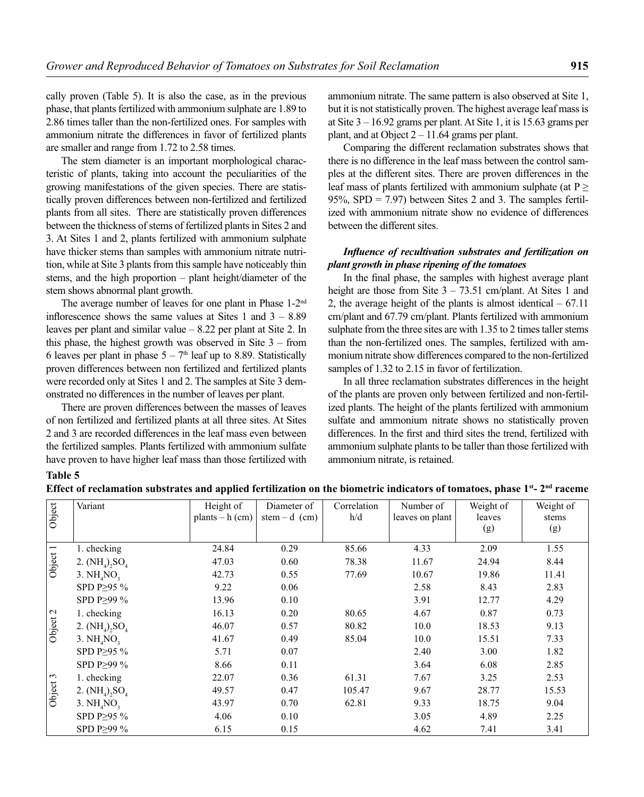cally proven (Table 5). It is also the case, as in the previous phase, that plants fertilized with ammonium sulphate are 1.89 to 2.86 times taller than the non-fertilized ones. For samples with ammonium nitrate the differences in favor of fertilized plants are smaller and range from 1.72 to 2.58 times.

The stem diameter is an important morphological characteristic of plants, taking into account the peculiarities of the growing manifestations of the given species. There are statistically proven differences between non-fertilized and fertilized plants from all sites. There are statistically proven differences between the thickness of stems of fertilized plants in Sites 2 and 3. At Sites 1 and 2, plants fertilized with ammonium sulphate have thicker stems than samples with ammonium nitrate nutrition, while at Site 3 plants from this sample have noticeably thin stems, and the high proportion – plant height/diameter of the stem shows abnormal plant growth.

The average number of leaves for one plant in Phase 1-2nd inflorescence shows the same values at Sites 1 and  $3 - 8.89$ leaves per plant and similar value – 8.22 per plant at Site 2. In this phase, the highest growth was observed in Site 3 – from 6 leaves per plant in phase  $5 - 7<sup>th</sup>$  leaf up to 8.89. Statistically proven differences between non fertilized and fertilized plants were recorded only at Sites 1 and 2. The samples at Site 3 demonstrated no differences in the number of leaves per plant.

There are proven differences between the masses of leaves of non fertilized and fertilized plants at all three sites. At Sites 2 and 3 are recorded differences in the leaf mass even between the fertilized samples. Plants fertilized with ammonium sulfate have proven to have higher leaf mass than those fertilized with ammonium nitrate. The same pattern is also observed at Site 1, but it is not statistically proven. The highest average leaf mass is at Site 3 – 16.92 grams per plant. At Site 1, it is 15.63 grams per plant, and at Object  $2 - 11.64$  grams per plant.

Comparing the different reclamation substrates shows that there is no difference in the leaf mass between the control samples at the different sites. There are proven differences in the leaf mass of plants fertilized with ammonium sulphate (at  $P \geq$ 95%, SPD = 7.97) between Sites 2 and 3. The samples fertilized with ammonium nitrate show no evidence of differences between the different sites.

## *Infl uence of recultivation substrates and fertilization on plant growth in phase ripening of the tomatoes*

In the final phase, the samples with highest average plant height are those from Site  $3 - 73.51$  cm/plant. At Sites 1 and 2, the average height of the plants is almost identical  $-67.11$ cm/plant and 67.79 cm/plant. Plants fertilized with ammonium sulphate from the three sites are with 1.35 to 2 times taller stems than the non-fertilized ones. The samples, fertilized with ammonium nitrate show differences compared to the non-fertilized samples of 1.32 to 2.15 in favor of fertilization.

In all three reclamation substrates differences in the height of the plants are proven only between fertilized and non-fertilized plants. The height of the plants fertilized with ammonium sulfate and ammonium nitrate shows no statistically proven differences. In the first and third sites the trend, fertilized with ammonium sulphate plants to be taller than those fertilized with ammonium nitrate, is retained.

# **Table 5**

| Effect of reclamation substrates and applied fertilization on the biometric indicators of tomatoes, phase 1st- 2 <sup>nd</sup> raceme |  |
|---------------------------------------------------------------------------------------------------------------------------------------|--|
|---------------------------------------------------------------------------------------------------------------------------------------|--|

| Object   | Variant                            | Height of<br>plants $- h$ (cm) | Diameter of<br>stem – d $(cm)$ | Correlation<br>h/d | Number of<br>leaves on plant | Weight of<br>leaves<br>(g) | Weight of<br>stems<br>(g) |
|----------|------------------------------------|--------------------------------|--------------------------------|--------------------|------------------------------|----------------------------|---------------------------|
|          | 1. checking                        | 24.84                          | 0.29                           | 85.66              | 4.33                         | 2.09                       | 1.55                      |
| Object 1 | 2. $(NH_4)$ , $SO_4$               | 47.03                          | 0.60                           | 78.38              | 11.67                        | 24.94                      | 8.44                      |
|          | 3. NH <sub>4</sub> NO <sub>2</sub> | 42.73                          | 0.55                           | 77.69              | 10.67                        | 19.86                      | 11.41                     |
|          | SPD P $\geq$ 95 %                  | 9.22                           | 0.06                           |                    | 2.58                         | 8.43                       | 2.83                      |
|          | SPD P>99 %                         | 13.96                          | 0.10                           |                    | 3.91                         | 12.77                      | 4.29                      |
|          | 1. checking                        | 16.13                          | 0.20                           | 80.65              | 4.67                         | 0.87                       | 0.73                      |
| Object 2 | 2. $(NH_4)$ , $SO_4$               | 46.07                          | 0.57                           | 80.82              | 10.0                         | 18.53                      | 9.13                      |
|          | 3. NH <sub>4</sub> NO <sub>2</sub> | 41.67                          | 0.49                           | 85.04              | 10.0                         | 15.51                      | 7.33                      |
|          | SPD P $\geq$ 95 %                  | 5.71                           | 0.07                           |                    | 2.40                         | 3.00                       | 1.82                      |
|          | SPD P>99 %                         | 8.66                           | 0.11                           |                    | 3.64                         | 6.08                       | 2.85                      |
|          | 1. checking                        | 22.07                          | 0.36                           | 61.31              | 7.67                         | 3.25                       | 2.53                      |
| Object 3 | 2. $(NH_4)$ , $SO_4$               | 49.57                          | 0.47                           | 105.47             | 9.67                         | 28.77                      | 15.53                     |
|          | 3. $NH4NO3$                        | 43.97                          | 0.70                           | 62.81              | 9.33                         | 18.75                      | 9.04                      |
|          | SPD P≥95 %                         | 4.06                           | 0.10                           |                    | 3.05                         | 4.89                       | 2.25                      |
|          | SPD P≥99 %                         | 6.15                           | 0.15                           |                    | 4.62                         | 7.41                       | 3.41                      |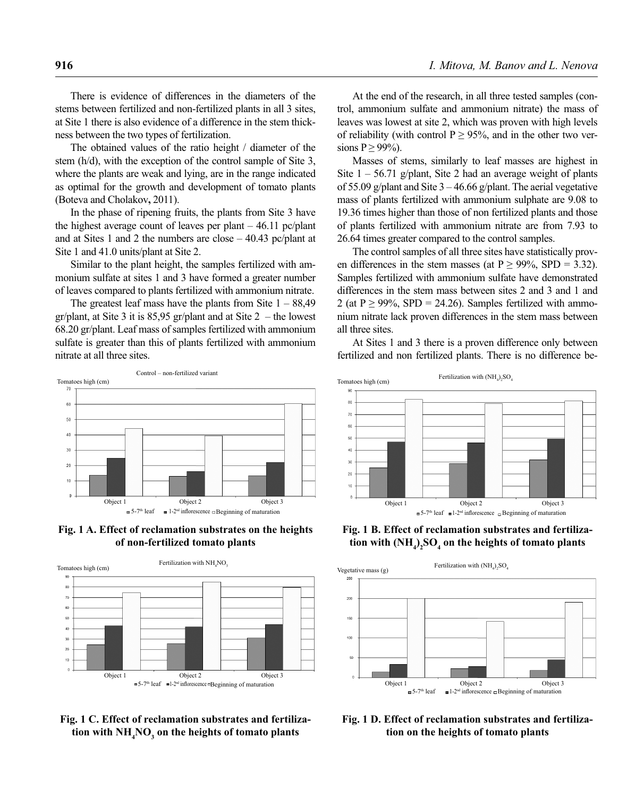There is evidence of differences in the diameters of the stems between fertilized and non-fertilized plants in all 3 sites, at Site 1 there is also evidence of a difference in the stem thickness between the two types of fertilization.

The obtained values of the ratio height / diameter of the stem (h/d), with the exception of the control sample of Site 3, where the plants are weak and lying, are in the range indicated as optimal for the growth and development of tomato plants (Boteva and Cholakov**,** 2011).

In the phase of ripening fruits, the plants from Site 3 have the highest average count of leaves per plant – 46.11 pc/plant and at Sites 1 and 2 the numbers are close – 40.43 pc/plant at Site 1 and 41.0 units/plant at Site 2.

Similar to the plant height, the samples fertilized with ammonium sulfate at sites 1 and 3 have formed a greater number of leaves compared to plants fertilized with ammonium nitrate.

The greatest leaf mass have the plants from Site  $1 - 88,49$ gr/plant, at Site 3 it is 85,95 gr/plant and at Site  $2$  – the lowest 68.20 gr/plant. Leaf mass of samples fertilized with ammonium sulfate is greater than this of plants fertilized with ammonium nitrate at all three sites.



**Fig. 1 A. Effect of reclamation substrates on the heights of non-fertilized tomato plants**



**Fig. 1 С. Effect of reclamation substrates and fertiliza**tion with  $\mathrm{NH}_4\mathrm{NO}_3$  on the heights of tomato plants

At the end of the research, in all three tested samples (control, ammonium sulfate and ammonium nitrate) the mass of leaves was lowest at site 2, which was proven with high levels of reliability (with control  $P \ge 95\%$ , and in the other two versions  $P \ge 99\%$ ).

Masses of stems, similarly to leaf masses are highest in Site  $1 - 56.71$  g/plant, Site 2 had an average weight of plants of 55.09 g/plant and Site  $3 - 46.66$  g/plant. The aerial vegetative mass of plants fertilized with ammonium sulphate are 9.08 to 19.36 times higher than those of non fertilized plants and those of plants fertilized with ammonium nitrate are from 7.93 to 26.64 times greater compared to the control samples.

The control samples of all three sites have statistically proven differences in the stem masses (at  $P \ge 99\%$ , SPD = 3.32). Samples fertilized with ammonium sulfate have demonstrated differences in the stem mass between sites 2 and 3 and 1 and 2 (at  $P \ge 99\%$ , SPD = 24.26). Samples fertilized with ammonium nitrate lack proven differences in the stem mass between all three sites.

At Sites 1 and 3 there is a proven difference only between fertilized and non fertilized plants. There is no difference be-



**Fig. 1 В. Effect of reclamation substrates and fertiliza**tion with  $(\mathbf{NH}_{4})_{2}\mathbf{SO}_{4}$  on the heights of tomato plants



**Fig. 1 D. Effect of reclamation substrates and fertilization on the heights of tomato plants**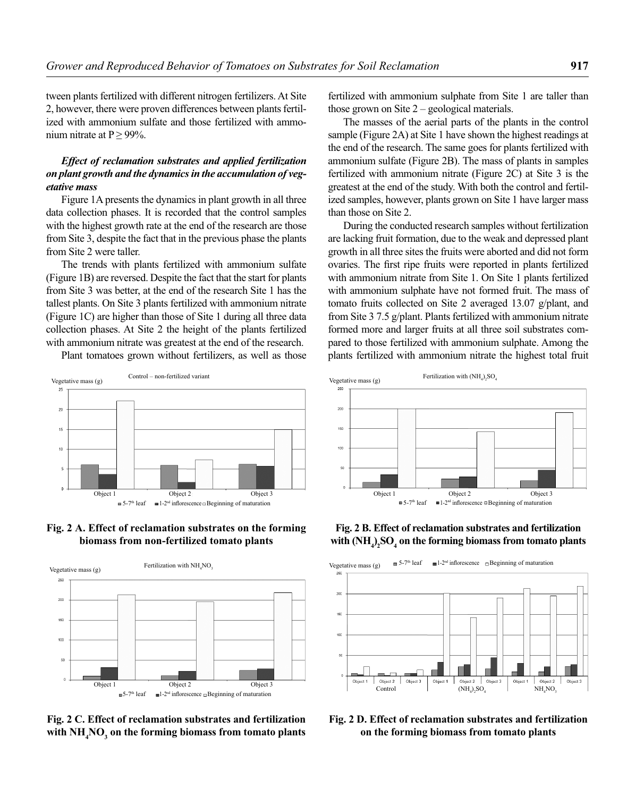tween plants fertilized with different nitrogen fertilizers. At Site 2, however, there were proven differences between plants fertilized with ammonium sulfate and those fertilized with ammonium nitrate at  $P \ge 99\%$ .

## *Effect of reclamation substrates and applied fertilization on plant growth and the dynamics in the accumulation of vegetative mass*

Figure 1A presents the dynamics in plant growth in all three data collection phases. It is recorded that the control samples with the highest growth rate at the end of the research are those from Site 3, despite the fact that in the previous phase the plants from Site 2 were taller.

The trends with plants fertilized with ammonium sulfate (Figure 1B) are reversed. Despite the fact that the start for plants from Site 3 was better, at the end of the research Site 1 has the tallest plants. On Site 3 plants fertilized with ammonium nitrate (Figure 1C) are higher than those of Site 1 during all three data collection phases. At Site 2 the height of the plants fertilized with ammonium nitrate was greatest at the end of the research.

Plant tomatoes grown without fertilizers, as well as those

Control – non-fertilized variant



The masses of the aerial parts of the plants in the control sample (Figure 2A) at Site 1 have shown the highest readings at the end of the research. The same goes for plants fertilized with ammonium sulfate (Figure 2B). The mass of plants in samples fertilized with ammonium nitrate (Figure 2C) at Site 3 is the greatest at the end of the study. With both the control and fertilized samples, however, plants grown on Site 1 have larger mass than those on Site 2.

During the conducted research samples without fertilization are lacking fruit formation, due to the weak and depressed plant growth in all three sites the fruits were aborted and did not form ovaries. The first ripe fruits were reported in plants fertilized with ammonium nitrate from Site 1. On Site 1 plants fertilized with ammonium sulphate have not formed fruit. The mass of tomato fruits collected on Site 2 averaged 13.07 g/plant, and from Site 3 7.5 g/plant. Plants fertilized with ammonium nitrate formed more and larger fruits at all three soil substrates compared to those fertilized with ammonium sulphate. Among the plants fertilized with ammonium nitrate the highest total fruit



**Fig. 2 А. Effect of reclamation substrates on the forming biomass from non-fertilized tomato plants**

 $\blacksquare$  5-7<sup>th</sup> leaf

 $25$ 

 $\overline{a}$ 

 $15$  $10$ 



**Fig. 2 С. Effect of reclamation substrates and fertilization**  with  $\mathrm{NH}_4\mathrm{NO}_3^{}$  on the forming biomass from tomato plants

**Fig. 2 В. Effect of reclamation substrates and fertilization**  with  $(NH_4)_2SO_4$  on the forming biomass from tomato plants



**Fig. 2 D. Effect of reclamation substrates and fertilization on the forming biomass from tomato plants**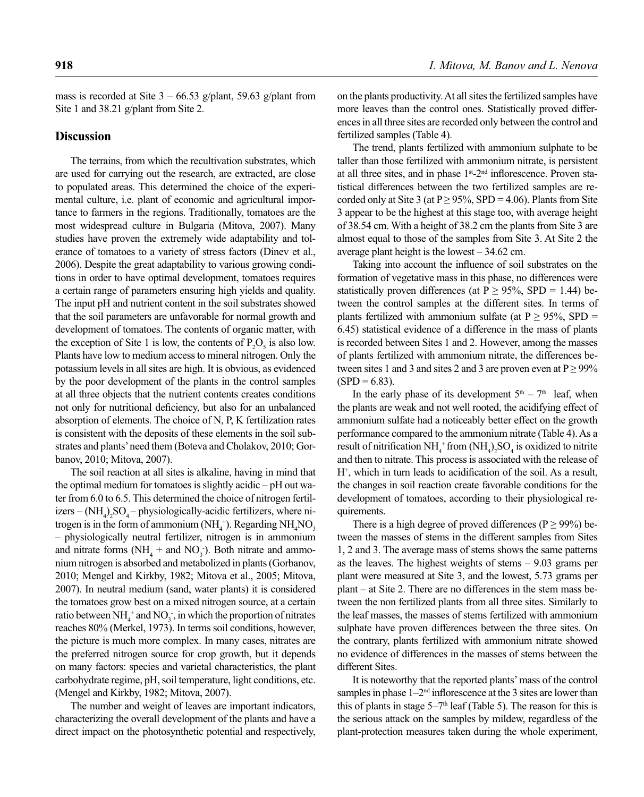mass is recorded at Site  $3 - 66.53$  g/plant, 59.63 g/plant from Site 1 and 38.21 g/plant from Site 2.

### **Discussion**

The terrains, from which the recultivation substrates, which are used for carrying out the research, are extracted, are close to populated areas. This determined the choice of the experimental culture, i.e. plant of economic and agricultural importance to farmers in the regions. Traditionally, tomatoes are the most widespread culture in Bulgaria (Mitova, 2007). Many studies have proven the extremely wide adaptability and tolerance of tomatoes to a variety of stress factors (Dinev et al., 2006). Despite the great adaptability to various growing conditions in order to have optimal development, tomatoes requires a certain range of parameters ensuring high yields and quality. The input pH and nutrient content in the soil substrates showed that the soil parameters are unfavorable for normal growth and development of tomatoes. The contents of organic matter, with the exception of Site 1 is low, the contents of  $P_2O_5$  is also low. Plants have low to medium access to mineral nitrogen. Only the potassium levels in all sites are high. It is obvious, as evidenced by the poor development of the plants in the control samples at all three objects that the nutrient contents creates conditions not only for nutritional deficiency, but also for an unbalanced absorption of elements. The choice of N, P, K fertilization rates is consistent with the deposits of these elements in the soil substrates and plants' need them (Botеva and Cholakov, 2010; Gorbanov, 2010; Mitova, 2007).

The soil reaction at all sites is alkaline, having in mind that the optimal medium for tomatoes is slightly acidic – pH out water from 6.0 to 6.5. This determined the choice of nitrogen fertilizers  $-(NH_4)_2SO_4$  – physiologically-acidic fertilizers, where nitrogen is in the form of ammonium ( $NH<sub>4</sub>^+$ ). Regarding  $NH<sub>4</sub>NO<sub>3</sub>$ – physiologically neutral fertilizer, nitrogen is in ammonium and nitrate forms  $(NH<sub>4</sub> + and NO<sub>3</sub>)$ . Both nitrate and ammonium nitrogen is absorbed and metabolized in plants (Gorbanov, 2010; Mengel and Kirkby, 1982; Mitova et al., 2005; Mitova, 2007). In neutral medium (sand, water plants) it is considered the tomatoes grow best on a mixed nitrogen source, at a certain ratio between  $NH_4^+$  and  $NO_3^-$ , in which the proportion of nitrates reaches 80% (Merkel, 1973). In terms soil conditions, however, the picture is much more complex. In many cases, nitrates are the preferred nitrogen source for crop growth, but it depends on many factors: species and varietal characteristics, the plant carbohydrate regime, pH, soil temperature, light conditions, etc. (Mengel and Kirkby, 1982; Mitova, 2007).

The number and weight of leaves are important indicators, characterizing the overall development of the plants and have a direct impact on the photosynthetic potential and respectively,

on the plants productivity. At all sites the fertilized samples have more leaves than the control ones. Statistically proved differences in all three sites are recorded only between the control and fertilized samples (Table 4).

The trend, plants fertilized with ammonium sulphate to be taller than those fertilized with ammonium nitrate, is persistent at all three sites, and in phase 1st-2<sup>nd</sup> inflorescence. Proven statistical differences between the two fertilized samples are recorded only at Site 3 (at  $P \ge 95\%$ , SPD = 4.06). Plants from Site 3 appear to be the highest at this stage too, with average height of 38.54 cm. With a height of 38.2 cm the plants from Site 3 are almost equal to those of the samples from Site 3. At Site 2 the average plant height is the lowest – 34.62 cm.

Taking into account the influence of soil substrates on the formation of vegetative mass in this phase, no differences were statistically proven differences (at  $P \ge 95\%$ , SPD = 1.44) between the control samples at the different sites. In terms of plants fertilized with ammonium sulfate (at  $P \ge 95\%$ , SPD = 6.45) statistical evidence of a difference in the mass of plants is recorded between Sites 1 and 2. However, among the masses of plants fertilized with ammonium nitrate, the differences between sites 1 and 3 and sites 2 and 3 are proven even at  $P \ge 99\%$  $(SPD = 6.83)$ .

In the early phase of its development  $5<sup>th</sup> - 7<sup>th</sup>$  leaf, when the plants are weak and not well rooted, the acidifying effect of ammonium sulfate had a noticeably better effect on the growth performance compared to the ammonium nitrate (Table 4). As a result of nitrification  $NH_4^+$  from  $(NH_4)_2SO_4$  is oxidized to nitrite and then to nitrate. This process is associated with the release of  $H^+$ , which in turn leads to acidification of the soil. As a result, the changes in soil reaction create favorable conditions for the development of tomatoes, according to their physiological requirements.

There is a high degree of proved differences ( $P \ge 99\%$ ) between the masses of stems in the different samples from Sites 1, 2 and 3. The average mass of stems shows the same patterns as the leaves. The highest weights of stems – 9.03 grams per plant were measured at Site 3, and the lowest, 5.73 grams per plant – at Site 2. There are no differences in the stem mass between the non fertilized plants from all three sites. Similarly to the leaf masses, the masses of stems fertilized with ammonium sulphate have proven differences between the three sites. On the contrary, plants fertilized with ammonium nitrate showed no evidence of differences in the masses of stems between the different Sites.

It is noteworthy that the reported plants' mass of the control samples in phase  $1-2<sup>nd</sup>$  inflorescence at the 3 sites are lower than this of plants in stage  $5-7<sup>th</sup>$  leaf (Table 5). The reason for this is the serious attack on the samples by mildew, regardless of the plant-protection measures taken during the whole experiment,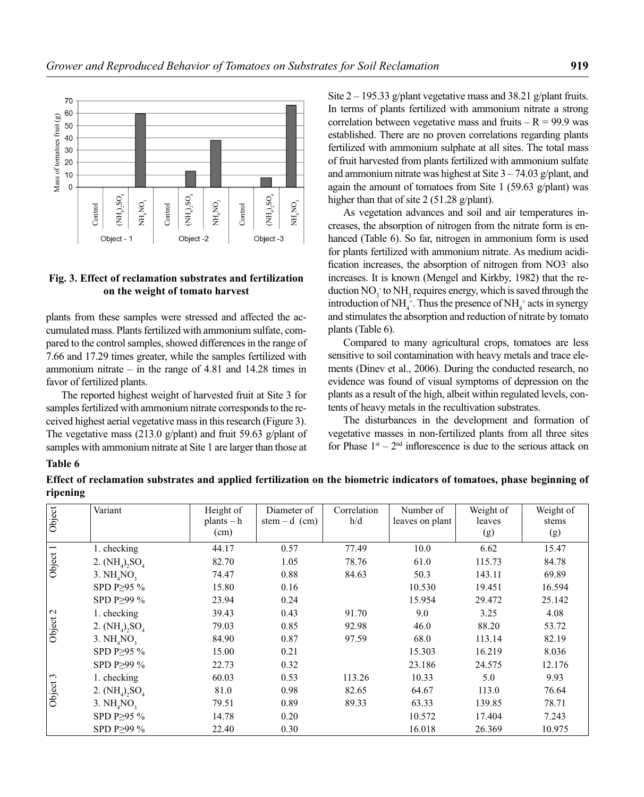

### **Fig. 3. Effect of reclamation substrates and fertilization on the weight of tomato harvest**

Site  $2 - 195.33$  g/plant vegetative mass and 38.21 g/plant fruits. In terms of plants fertilized with ammonium nitrate a strong correlation between vegetative mass and fruits  $-R = 99.9$  was established. There are no proven correlations regarding plants fertilized with ammonium sulphate at all sites. The total mass of fruit harvested from plants fertilized with ammonium sulfate and ammonium nitrate was highest at Site  $3 - 74.03$  g/plant, and again the amount of tomatoes from Site  $1$  (59.63 g/plant) was higher than that of site 2 (51.28 g/plant).

#### **Table 6**

**Effect of reclamation substrates and applied fertilization on the biometric indicators of tomatoes, phase beginning of ripening**

|                               | $\cot$<br>$\cot$<br>E<br>E<br>H,<br>Object - 1<br>Fig. 3. Effect of reclamation substrates and fertilization                                                                                                                                                                                                                                                                                                                                                                                                                                                                                                    | ГHZ<br>К<br>$\cot$<br>Object -2                    | EK<br>FE<br>N<br>Object -3                   |                         | As vegetation advances and soil and air temperatures in-<br>creases, the absorption of nitrogen from the nitrate form is en-<br>hanced (Table 6). So far, nitrogen in ammonium form is used<br>for plants fertilized with ammonium nitrate. As medium acidi-<br>fication increases, the absorption of nitrogen from NO3 also<br>increases. It is known (Mengel and Kirkby, 1982) that the re-                                                                                                                                                                                                                                                                                                                         |                                                       |                                                                     |
|-------------------------------|-----------------------------------------------------------------------------------------------------------------------------------------------------------------------------------------------------------------------------------------------------------------------------------------------------------------------------------------------------------------------------------------------------------------------------------------------------------------------------------------------------------------------------------------------------------------------------------------------------------------|----------------------------------------------------|----------------------------------------------|-------------------------|-----------------------------------------------------------------------------------------------------------------------------------------------------------------------------------------------------------------------------------------------------------------------------------------------------------------------------------------------------------------------------------------------------------------------------------------------------------------------------------------------------------------------------------------------------------------------------------------------------------------------------------------------------------------------------------------------------------------------|-------------------------------------------------------|---------------------------------------------------------------------|
|                               | on the weight of tomato harvest<br>plants from these samples were stressed and affected the ac-<br>cumulated mass. Plants fertilized with ammonium sulfate, com-<br>pared to the control samples, showed differences in the range of<br>7.66 and 17.29 times greater, while the samples fertilized with<br>ammonium nitrate $-$ in the range of 4.81 and 14.28 times in<br>favor of fertilized plants.<br>The reported highest weight of harvested fruit at Site 3 for<br>samples fertilized with ammonium nitrate corresponds to the re-<br>ceived highest aerial vegetative mass in this research (Figure 3). |                                                    |                                              | plants (Table 6).       | duction $NO_3^-$ to $NH_3$ requires energy, which is saved through the<br>introduction of NH <sub>4</sub> <sup>+</sup> . Thus the presence of NH <sub>4</sub> <sup>+</sup> acts in synergy<br>and stimulates the absorption and reduction of nitrate by tomato<br>Compared to many agricultural crops, tomatoes are less<br>sensitive to soil contamination with heavy metals and trace ele-<br>ments (Dinev et al., 2006). During the conducted research, no<br>evidence was found of visual symptoms of depression on the<br>plants as a result of the high, albeit within regulated levels, con-<br>tents of heavy metals in the recultivation substrates.<br>The disturbances in the development and formation of |                                                       |                                                                     |
|                               | The vegetative mass $(213.0 \text{ g/plant})$ and fruit 59.63 g/plant of                                                                                                                                                                                                                                                                                                                                                                                                                                                                                                                                        |                                                    |                                              |                         | vegetative masses in non-fertilized plants from all three sites                                                                                                                                                                                                                                                                                                                                                                                                                                                                                                                                                                                                                                                       |                                                       | for Phase $1st - 2nd$ inflorescence is due to the serious attack on |
|                               | samples with ammonium nitrate at Site 1 are larger than those at<br>Effect of reclamation substrates and applied fertilization on the biometric indicators of tomatoes, phase beginning of                                                                                                                                                                                                                                                                                                                                                                                                                      |                                                    |                                              |                         |                                                                                                                                                                                                                                                                                                                                                                                                                                                                                                                                                                                                                                                                                                                       |                                                       |                                                                     |
| Table 6<br>ripening<br>Object | Variant                                                                                                                                                                                                                                                                                                                                                                                                                                                                                                                                                                                                         | Height of<br>$plants - h$<br>(cm)                  | Diameter of<br>stem $-d$ (cm)                | Correlation<br>h/d      | Number of<br>leaves on plant                                                                                                                                                                                                                                                                                                                                                                                                                                                                                                                                                                                                                                                                                          | Weight of<br>leaves<br>(g)                            | Weight of<br>stems<br>(g)                                           |
| Object 1                      | 1. checking<br>2. $(NH_4)_2SO_4$<br>3. $NH4NO3$<br>SPD P≥95 %                                                                                                                                                                                                                                                                                                                                                                                                                                                                                                                                                   | 44.17<br>82.70<br>74.47<br>15.80                   | 0.57<br>1.05<br>0.88<br>0.16                 | 77.49<br>78.76<br>84.63 | 10.0<br>61.0<br>50.3<br>10.530                                                                                                                                                                                                                                                                                                                                                                                                                                                                                                                                                                                                                                                                                        | 6.62<br>115.73<br>143.11<br>19.451                    | 15.47<br>84.78<br>69.89<br>16.594                                   |
| Object 2                      | SPD P≥99 %<br>1. checking<br>2. $(NH_4)_2SO_4$<br>3. $NH4NO3$<br>SPD P≥95 %<br>SPD P≥99 %                                                                                                                                                                                                                                                                                                                                                                                                                                                                                                                       | 23.94<br>39.43<br>79.03<br>84.90<br>15.00<br>22.73 | 0.24<br>0.43<br>0.85<br>0.87<br>0.21<br>0.32 | 91.70<br>92.98<br>97.59 | 15.954<br>9.0<br>46.0<br>68.0<br>15.303<br>23.186                                                                                                                                                                                                                                                                                                                                                                                                                                                                                                                                                                                                                                                                     | 29.472<br>3.25<br>88.20<br>113.14<br>16.219<br>24.575 | 25.142<br>4.08<br>53.72<br>82.19<br>8.036<br>12.176                 |